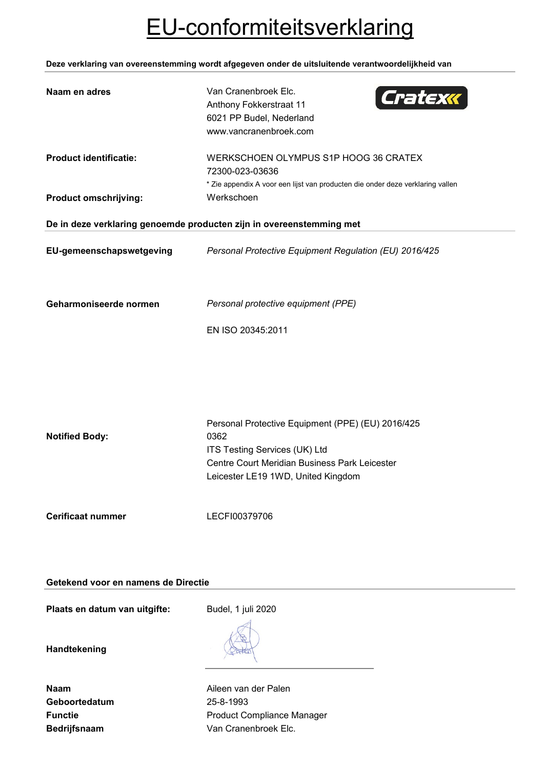## EU-conformiteitsverklaring

**Deze verklaring van overeenstemming wordt afgegeven onder de uitsluitende verantwoordelijkheid van**

| Naam en adres                                                        | Van Cranenbroek Elc.<br>Cratexx<br>Anthony Fokkerstraat 11<br>6021 PP Budel, Nederland<br>www.vancranenbroek.com                                                                  |
|----------------------------------------------------------------------|-----------------------------------------------------------------------------------------------------------------------------------------------------------------------------------|
| <b>Product identificatie:</b><br><b>Product omschrijving:</b>        | WERKSCHOEN OLYMPUS S1P HOOG 36 CRATEX<br>72300-023-03636<br>* Zie appendix A voor een lijst van producten die onder deze verklaring vallen<br>Werkschoen                          |
| De in deze verklaring genoemde producten zijn in overeenstemming met |                                                                                                                                                                                   |
| EU-gemeenschapswetgeving                                             | Personal Protective Equipment Regulation (EU) 2016/425                                                                                                                            |
| Geharmoniseerde normen                                               | Personal protective equipment (PPE)<br>EN ISO 20345:2011                                                                                                                          |
| <b>Notified Body:</b>                                                | Personal Protective Equipment (PPE) (EU) 2016/425<br>0362<br>ITS Testing Services (UK) Ltd<br>Centre Court Meridian Business Park Leicester<br>Leicester LE19 1WD, United Kingdom |
| <b>Cerificaat nummer</b>                                             | LECFI00379706                                                                                                                                                                     |

## **Getekend voor en namens de Directie**

Plaats en datum van uitgifte: Budel, 1 juli 2020

**Handtekening**

| Naam                |
|---------------------|
| Geboortedatum       |
| <b>Functie</b>      |
| <b>Bedrijfsnaam</b> |

**Aileen van der Palen Geboortedatum** 25-8-1993 **Product Compliance Manager** Van Cranenbroek Elc.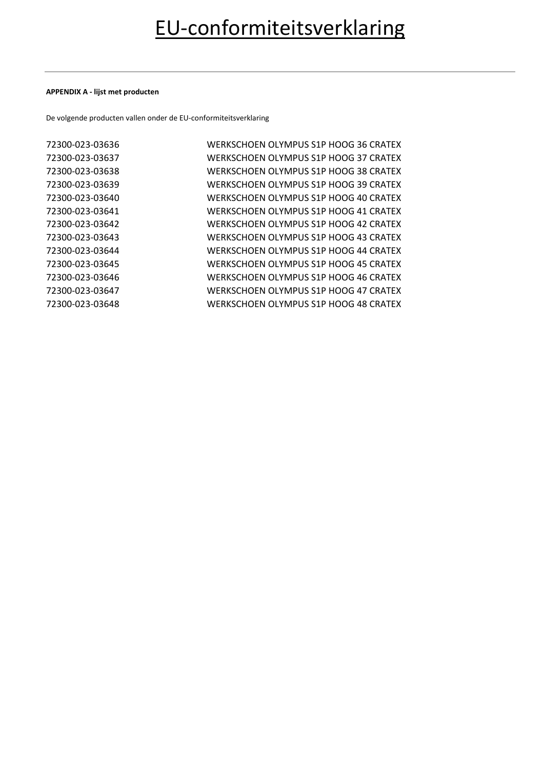### **APPENDIX A - lijst met producten**

De volgende producten vallen onder de EU-conformiteitsverklaring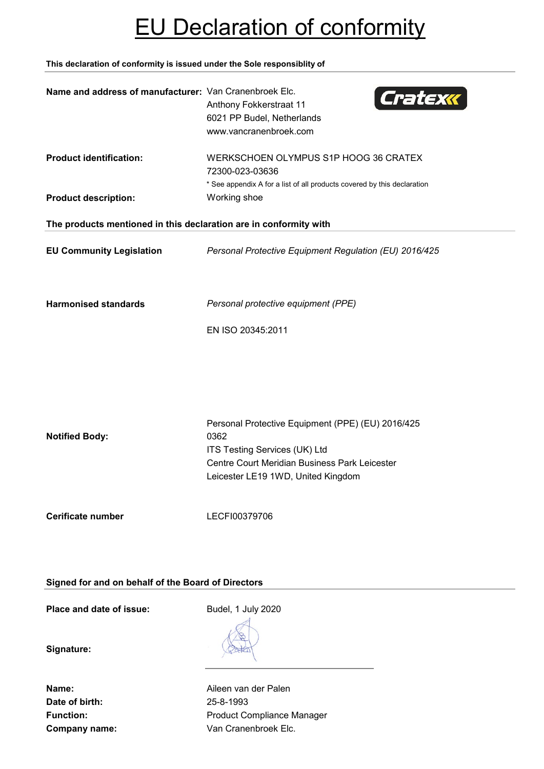## EU Declaration of conformity

**This declaration of conformity is issued under the Sole responsiblity of**

| Name and address of manufacturer: Van Cranenbroek Elc.                                           | Cratexx<br>Anthony Fokkerstraat 11<br>6021 PP Budel, Netherlands<br>www.vancranenbroek.com                                                                                        |
|--------------------------------------------------------------------------------------------------|-----------------------------------------------------------------------------------------------------------------------------------------------------------------------------------|
| <b>Product identification:</b>                                                                   | WERKSCHOEN OLYMPUS S1P HOOG 36 CRATEX<br>72300-023-03636<br>* See appendix A for a list of all products covered by this declaration                                               |
| <b>Product description:</b><br>The products mentioned in this declaration are in conformity with | Working shoe                                                                                                                                                                      |
| <b>EU Community Legislation</b>                                                                  | Personal Protective Equipment Regulation (EU) 2016/425                                                                                                                            |
| <b>Harmonised standards</b>                                                                      | Personal protective equipment (PPE)<br>EN ISO 20345:2011                                                                                                                          |
| <b>Notified Body:</b>                                                                            | Personal Protective Equipment (PPE) (EU) 2016/425<br>0362<br>ITS Testing Services (UK) Ltd<br>Centre Court Meridian Business Park Leicester<br>Leicester LE19 1WD, United Kingdom |
| Cerificate number                                                                                | LECFI00379706                                                                                                                                                                     |

**Signed for and on behalf of the Board of Directors**

**Place and date of issue:** Budel, 1 July 2020

**Signature:**

**Date of birth:** 25-8-1993

**Name:** Aileen van der Palen Function: **Function:** Product Compliance Manager **Company name:** Van Cranenbroek Elc.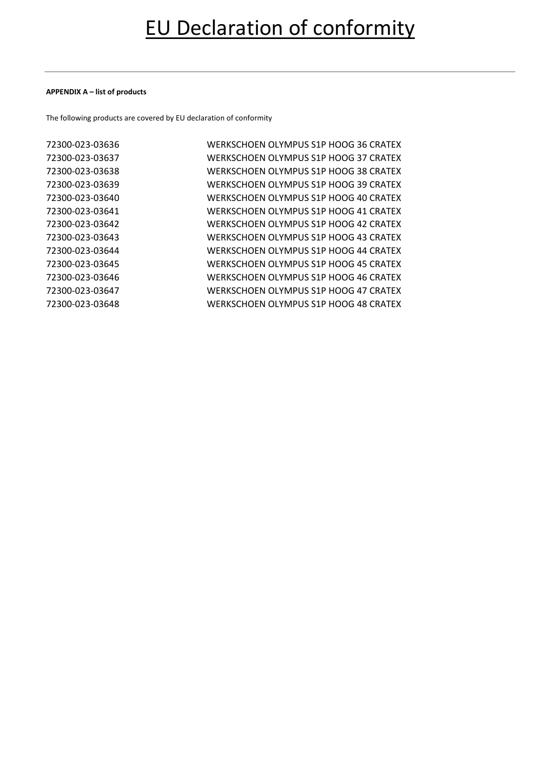### **APPENDIX A – list of products**

The following products are covered by EU declaration of conformity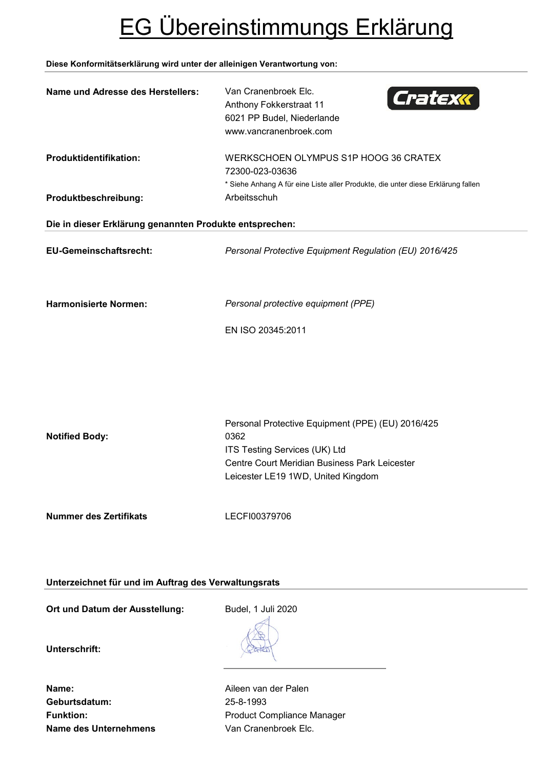# EG Übereinstimmungs Erklärung

### **Diese Konformitätserklärung wird unter der alleinigen Verantwortung von:**

| Name und Adresse des Herstellers:                       | Van Cranenbroek Elc.<br>Cratexx<br>Anthony Fokkerstraat 11<br>6021 PP Budel, Niederlande<br>www.vancranenbroek.com                                                                |  |  |
|---------------------------------------------------------|-----------------------------------------------------------------------------------------------------------------------------------------------------------------------------------|--|--|
| Produktidentifikation:                                  | WERKSCHOEN OLYMPUS S1P HOOG 36 CRATEX<br>72300-023-03636<br>* Siehe Anhang A für eine Liste aller Produkte, die unter diese Erklärung fallen                                      |  |  |
| Produktbeschreibung:                                    | Arbeitsschuh                                                                                                                                                                      |  |  |
| Die in dieser Erklärung genannten Produkte entsprechen: |                                                                                                                                                                                   |  |  |
| <b>EU-Gemeinschaftsrecht:</b>                           | Personal Protective Equipment Regulation (EU) 2016/425                                                                                                                            |  |  |
| <b>Harmonisierte Normen:</b>                            | Personal protective equipment (PPE)                                                                                                                                               |  |  |
|                                                         | EN ISO 20345:2011                                                                                                                                                                 |  |  |
| <b>Notified Body:</b>                                   | Personal Protective Equipment (PPE) (EU) 2016/425<br>0362<br>ITS Testing Services (UK) Ltd<br>Centre Court Meridian Business Park Leicester<br>Leicester LE19 1WD, United Kingdom |  |  |
| <b>Nummer des Zertifikats</b>                           | LECFI00379706                                                                                                                                                                     |  |  |

**Unterzeichnet für und im Auftrag des Verwaltungsrats**

Ort und Datum der Ausstellung: Budel, 1 Juli 2020

**Unterschrift:**

**Name:** Aileen van der Palen **Geburtsdatum:** 25-8-1993 **Name des Unternehmens** Van Cranenbroek Elc.

Funktion: **Funktion:** Product Compliance Manager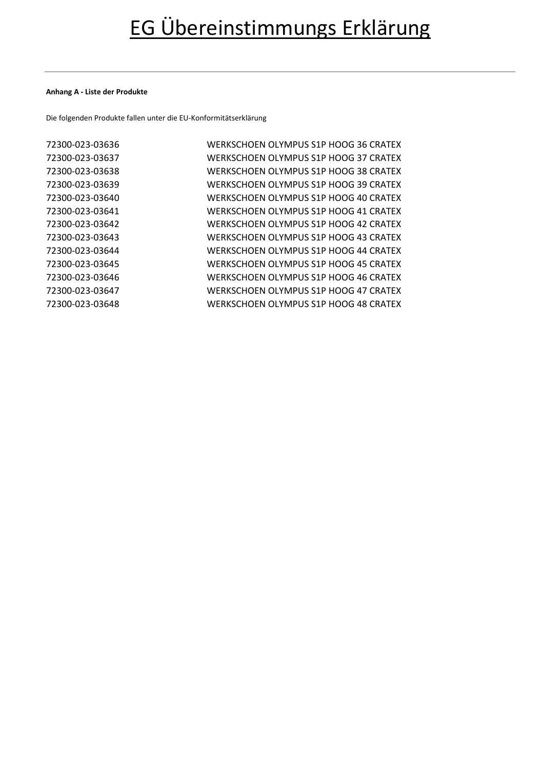#### **Anhang A - Liste der Produkte**

Die folgenden Produkte fallen unter die EU-Konformitätserklärung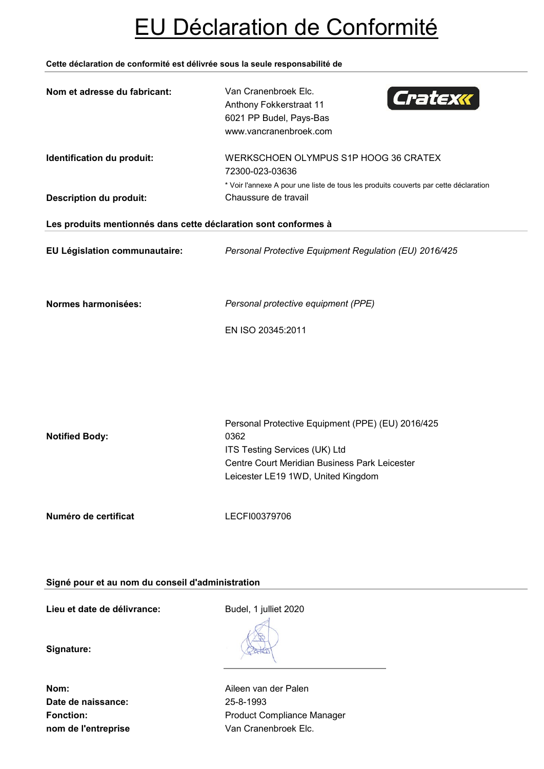# EU Déclaration de Conformité

### **Cette déclaration de conformité est délivrée sous la seule responsabilité de**

| Nom et adresse du fabricant:                                    | Van Cranenbroek Elc.<br>Cratexx<br>Anthony Fokkerstraat 11<br>6021 PP Budel, Pays-Bas<br>www.vancranenbroek.com                                                                   |
|-----------------------------------------------------------------|-----------------------------------------------------------------------------------------------------------------------------------------------------------------------------------|
| Identification du produit:<br><b>Description du produit:</b>    | WERKSCHOEN OLYMPUS S1P HOOG 36 CRATEX<br>72300-023-03636<br>* Voir l'annexe A pour une liste de tous les produits couverts par cette déclaration<br>Chaussure de travail          |
| Les produits mentionnés dans cette déclaration sont conformes à |                                                                                                                                                                                   |
| EU Législation communautaire:                                   | Personal Protective Equipment Regulation (EU) 2016/425                                                                                                                            |
| Normes harmonisées:                                             | Personal protective equipment (PPE)<br>EN ISO 20345:2011                                                                                                                          |
| <b>Notified Body:</b>                                           | Personal Protective Equipment (PPE) (EU) 2016/425<br>0362<br>ITS Testing Services (UK) Ltd<br>Centre Court Meridian Business Park Leicester<br>Leicester LE19 1WD, United Kingdom |
| Numéro de certificat                                            | LECFI00379706                                                                                                                                                                     |

## **Signé pour et au nom du conseil d'administration**

Lieu et date de délivrance: Budel, 1 julliet 2020

**Signature:**

**Date de naissance:** 25-8-1993 **nom de l'entreprise van Cranenbroek Elc.** 

**Nom:** Aileen van der Palen Fonction: **Fonction:** Product Compliance Manager